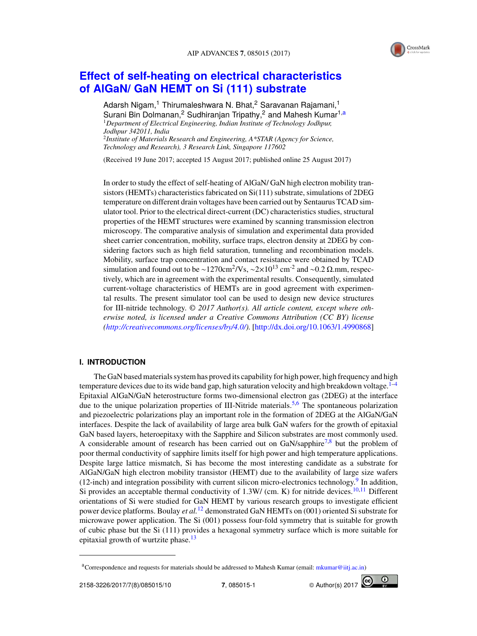

# **Effect of self-heating on electrical characteristics of AlGaN/ GaN HEMT on Si (111) substrate**

Adarsh Nigam,<sup>1</sup> Thirumaleshwara N. Bhat,<sup>2</sup> Saravanan Rajamani,<sup>1</sup> Surani Bin Dolmanan,<sup>2</sup> Sudhiranjan Tripathy,<sup>2</sup> and Mahesh Kumar<sup>1,a</sup> <sup>1</sup>*Department of Electrical Engineering, Indian Institute of Technology Jodhpur, Jodhpur 342011, India* 2 *Institute of Materials Research and Engineering, A\*STAR (Agency for Science, Technology and Research), 3 Research Link, Singapore 117602*

(Received 19 June 2017; accepted 15 August 2017; published online 25 August 2017)

In order to study the effect of self-heating of AlGaN/ GaN high electron mobility transistors (HEMTs) characteristics fabricated on Si(111) substrate, simulations of 2DEG temperature on different drain voltages have been carried out by Sentaurus TCAD simulator tool. Prior to the electrical direct-current (DC) characteristics studies, structural properties of the HEMT structures were examined by scanning transmission electron microscopy. The comparative analysis of simulation and experimental data provided sheet carrier concentration, mobility, surface traps, electron density at 2DEG by considering factors such as high field saturation, tunneling and recombination models. Mobility, surface trap concentration and contact resistance were obtained by TCAD simulation and found out to be ~1270cm<sup>2</sup>/Vs, ~2×10<sup>13</sup> cm<sup>-2</sup> and ~0.2 Ω.mm, respectively, which are in agreement with the experimental results. Consequently, simulated current-voltage characteristics of HEMTs are in good agreement with experimental results. The present simulator tool can be used to design new device structures for III-nitride technology. © *2017 Author(s). All article content, except where otherwise noted, is licensed under a Creative Commons Attribution (CC BY) license (http://creativecommons.org/licenses/by/4.0/).* [http://dx.doi.org/10.1063/1.4990868]

# **I. INTRODUCTION**

The GaN based materials system has proved its capability for high power, high frequency and high temperature devices due to its wide band gap, high saturation velocity and high breakdown voltage. $1-4$ Epitaxial AlGaN/GaN heterostructure forms two-dimensional electron gas (2DEG) at the interface due to the unique polarization properties of III-Nitride materials.<sup>5,6</sup> The spontaneous polarization and piezoelectric polarizations play an important role in the formation of 2DEG at the AlGaN/GaN interfaces. Despite the lack of availability of large area bulk GaN wafers for the growth of epitaxial GaN based layers, heteroepitaxy with the Sapphire and Silicon substrates are most commonly used. A considerable amount of research has been carried out on GaN/sapphire<sup>7,8</sup> but the problem of poor thermal conductivity of sapphire limits itself for high power and high temperature applications. Despite large lattice mismatch, Si has become the most interesting candidate as a substrate for AlGaN/GaN high electron mobility transistor (HEMT) due to the availability of large size wafers (12-inch) and integration possibility with current silicon micro-electronics technology.<sup>9</sup> In addition, Si provides an acceptable thermal conductivity of  $1.3W/$  (cm. K) for nitride devices.<sup>10,11</sup> Different orientations of Si were studied for GaN HEMT by various research groups to investigate efficient power device platforms. Boulay *et al.*<sup>12</sup> demonstrated GaN HEMTs on (001) oriented Si substrate for microwave power application. The Si (001) possess four-fold symmetry that is suitable for growth of cubic phase but the Si (111) provides a hexagonal symmetry surface which is more suitable for epitaxial growth of wurtzite phase. $^{13}$ 



<sup>&</sup>lt;sup>a</sup>Correspondence and requests for materials should be addressed to Mahesh Kumar (email: mkumar@iitj.ac.in)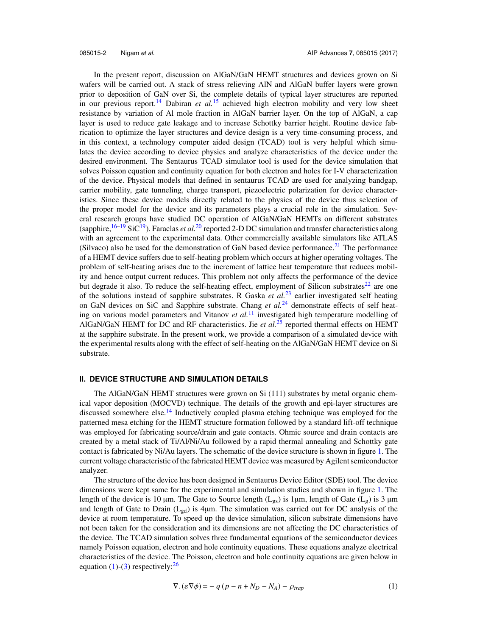In the present report, discussion on AlGaN/GaN HEMT structures and devices grown on Si wafers will be carried out. A stack of stress relieving AlN and AlGaN buffer layers were grown prior to deposition of GaN over Si, the complete details of typical layer structures are reported in our previous report.<sup>14</sup> Dabiran *et al.*<sup>15</sup> achieved high electron mobility and very low sheet resistance by variation of Al mole fraction in AlGaN barrier layer. On the top of AlGaN, a cap layer is used to reduce gate leakage and to increase Schottky barrier height. Routine device fabrication to optimize the layer structures and device design is a very time-consuming process, and in this context, a technology computer aided design (TCAD) tool is very helpful which simulates the device according to device physics and analyze characteristics of the device under the desired environment. The Sentaurus TCAD simulator tool is used for the device simulation that solves Poisson equation and continuity equation for both electron and holes for I-V characterization of the device. Physical models that defined in sentaurus TCAD are used for analyzing bandgap, carrier mobility, gate tunneling, charge transport, piezoelectric polarization for device characteristics. Since these device models directly related to the physics of the device thus selection of the proper model for the device and its parameters plays a crucial role in the simulation. Several research groups have studied DC operation of AlGaN/GaN HEMTs on different substrates (sapphire, <sup>16–19</sup> SiC<sup>19</sup>). Faraclas *et al.*<sup>20</sup> reported 2-D DC simulation and transfer characteristics along with an agreement to the experimental data. Other commercially available simulators like ATLAS (Silvaco) also be used for the demonstration of GaN based device performance.<sup>21</sup> The performance of a HEMT device suffers due to self-heating problem which occurs at higher operating voltages. The problem of self-heating arises due to the increment of lattice heat temperature that reduces mobility and hence output current reduces. This problem not only affects the performance of the device but degrade it also. To reduce the self-heating effect, employment of Silicon substrates<sup>22</sup> are one of the solutions instead of sapphire substrates. R Gaska *et al.*<sup>23</sup> earlier investigated self heating on GaN devices on SiC and Sapphire substrate. Chang *et al.*<sup>24</sup> demonstrate effects of self heating on various model parameters and Vitanov *et al.*<sup>11</sup> investigated high temperature modelling of AlGaN/GaN HEMT for DC and RF characteristics. Jie *et al.*<sup>25</sup> reported thermal effects on HEMT at the sapphire substrate. In the present work, we provide a comparison of a simulated device with the experimental results along with the effect of self-heating on the AlGaN/GaN HEMT device on Si substrate.

#### **II. DEVICE STRUCTURE AND SIMULATION DETAILS**

The AlGaN/GaN HEMT structures were grown on Si (111) substrates by metal organic chemical vapor deposition (MOCVD) technique. The details of the growth and epi-layer structures are discussed somewhere else.<sup>14</sup> Inductively coupled plasma etching technique was employed for the patterned mesa etching for the HEMT structure formation followed by a standard lift-off technique was employed for fabricating source/drain and gate contacts. Ohmic source and drain contacts are created by a metal stack of Ti/Al/Ni/Au followed by a rapid thermal annealing and Schottky gate contact is fabricated by Ni/Au layers. The schematic of the device structure is shown in figure 1. The current voltage characteristic of the fabricated HEMT device was measured by Agilent semiconductor analyzer.

The structure of the device has been designed in Sentaurus Device Editor (SDE) tool. The device dimensions were kept same for the experimental and simulation studies and shown in figure 1. The length of the device is 10  $\mu$ m. The Gate to Source length (L<sub>gs</sub>) is 1 $\mu$ m, length of Gate (L<sub>g</sub>) is 3  $\mu$ m and length of Gate to Drain ( $L_{gd}$ ) is 4 $\mu$ m. The simulation was carried out for DC analysis of the device at room temperature. To speed up the device simulation, silicon substrate dimensions have not been taken for the consideration and its dimensions are not affecting the DC characteristics of the device. The TCAD simulation solves three fundamental equations of the semiconductor devices namely Poisson equation, electron and hole continuity equations. These equations analyze electrical characteristics of the device. The Poisson, electron and hole continuity equations are given below in equation  $(1)-(3)$  respectively:  $26$ 

$$
\nabla.(\varepsilon \nabla \phi) = -q(p - n + N_D - N_A) - \rho_{trap}
$$
\n(1)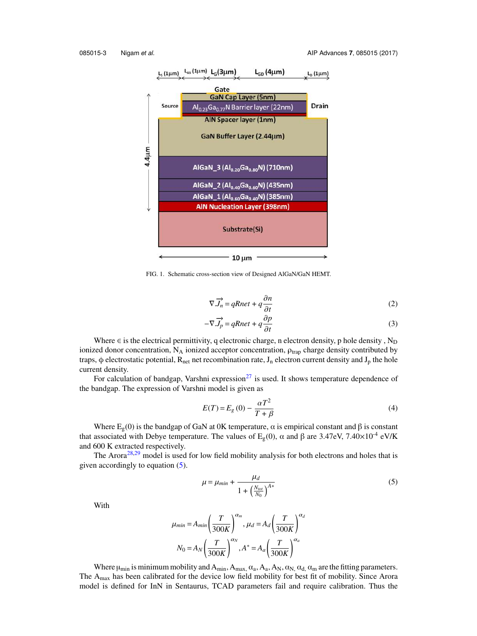

FIG. 1. Schematic cross-section view of Designed AlGaN/GaN HEMT.

$$
\nabla \cdot \overrightarrow{J_n} = qRnet + q \frac{\partial n}{\partial t}
$$
\n
$$
-\nabla \cdot \overrightarrow{J_p} = qRnet + q \frac{\partial p}{\partial t}
$$
\n(2)

Where  $\in$  is the electrical permittivity, q electronic charge, n electron density, p hole density, N<sub>D</sub> ionized donor concentration,  $N_A$  ionized acceptor concentration,  $\rho_{trap}$  charge density contributed by traps, φ electrostatic potential,  $R_{net}$  net recombination rate,  $J_n$  electron current density and  $J_p$  the hole current density.

For calculation of bandgap, Varshni expression<sup>27</sup> is used. It shows temperature dependence of the bandgap. The expression of Varshni model is given as

$$
E(T) = E_g(0) - \frac{\alpha T^2}{T + \beta} \tag{4}
$$

Where  $E_g(0)$  is the bandgap of GaN at 0K temperature,  $\alpha$  is empirical constant and  $\beta$  is constant that associated with Debye temperature. The values of  $E<sub>g</sub>(0)$ , α and β are 3.47eV, 7.40×10<sup>-4</sup> eV/K and 600 K extracted respectively.

The Arora<sup>28,29</sup> model is used for low field mobility analysis for both electrons and holes that is given accordingly to equation (5).

$$
\mu = \mu_{min} + \frac{\mu_d}{1 + \left(\frac{N_{tot}}{N_0}\right)^{A*}}\tag{5}
$$

With

$$
\mu_{min} = A_{min} \left(\frac{T}{300K}\right)^{\alpha_m}, \mu_d = A_d \left(\frac{T}{300K}\right)^{\alpha_d}
$$

$$
N_0 = A_N \left(\frac{T}{300K}\right)^{\alpha_N}, A^* = A_d \left(\frac{T}{300K}\right)^{\alpha_d}
$$

Where  $\mu_{min}$  is minimum mobility and  $A_{min}$ ,  $A_{max}$ ,  $\alpha_a$ ,  $A_a$ ,  $A_N$ ,  $\alpha_N$ ,  $\alpha_d$ ,  $\alpha_m$  are the fitting parameters. The  $A_{\text{max}}$  has been calibrated for the device low field mobility for best fit of mobility. Since Arora model is defined for InN in Sentaurus, TCAD parameters fail and require calibration. Thus the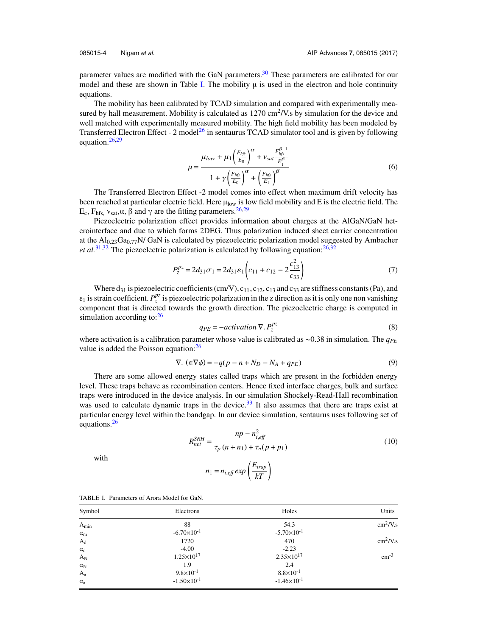parameter values are modified with the GaN parameters.<sup>30</sup> These parameters are calibrated for our model and these are shown in Table I. The mobility  $\mu$  is used in the electron and hole continuity equations.

The mobility has been calibrated by TCAD simulation and compared with experimentally measured by hall measurement. Mobility is calculated as  $1270 \text{ cm}^2/\text{V}$ . So by simulation for the device and well matched with experimentally measured mobility. The high field mobility has been modeled by Transferred Electron Effect - 2 model<sup>26</sup> in sentaurus TCAD simulator tool and is given by following equation. $26,29$ 

$$
\mu = \frac{\mu_{low} + \mu_1 \left(\frac{F_{hfs}}{E_0}\right)^{\alpha} + v_{sat} \frac{F_{hfs}^{\beta - 1}}{E_1^{\beta}}}{1 + \gamma \left(\frac{F_{hfs}}{E_0}\right)^{\alpha} + \left(\frac{F_{hfs}}{E_1}\right)^{\beta}}
$$
(6)

The Transferred Electron Effect -2 model comes into effect when maximum drift velocity has been reached at particular electric field. Here  $\mu_{\text{low}}$  is low field mobility and E is the electric field. The E<sub>c</sub>, F<sub>hfs, Vsat</sub>, α, β and γ are the fitting parameters.<sup>26,29</sup>

Piezoelectric polarization effect provides information about charges at the AlGaN/GaN heterointerface and due to which forms 2DEG. Thus polarization induced sheet carrier concentration at the  $Al_{0.23}Ga_{0.77}N/GaN$  is calculated by piezoelectric polarization model suggested by Ambacher *et al.*<sup>31,32</sup> The piezoelectric polarization is calculated by following equation: $^{26,32}$ 

$$
P_z^{pz} = 2d_{31}\sigma_1 = 2d_{31}\varepsilon_1 \left(c_{11} + c_{12} - 2\frac{c_{13}^2}{c_{33}}\right)
$$
 (7)

Where  $d_{31}$  is piezoelectric coefficients (cm/V),  $c_{11}$ ,  $c_{12}$ ,  $c_{13}$  and  $c_{33}$  are stiffness constants (Pa), and  $\varepsilon_1$  is strain coefficient.  $P_z^{pz}$  is piezoelectric polarization in the z direction as it is only one non vanishing component that is directed towards the growth direction. The piezoelectric charge is computed in simulation according to: $26$ 

$$
q_{PE} = -activation \nabla. P_z^{pz}
$$
 (8)

where activation is a calibration parameter whose value is calibrated as ~0.38 in simulation. The *q<sub>PE</sub>* value is added the Poisson equation: $^{26}$ 

$$
\nabla. \left( \in \nabla \phi \right) = -q(p - n + N_D - N_A + q_{PE}) \tag{9}
$$

There are some allowed energy states called traps which are present in the forbidden energy level. These traps behave as recombination centers. Hence fixed interface charges, bulk and surface traps were introduced in the device analysis. In our simulation Shockely-Read-Hall recombination was used to calculate dynamic traps in the device.<sup>33</sup> It also assumes that there are traps exist at particular energy level within the bandgap. In our device simulation, sentaurus uses following set of equations.<sup>26</sup>

$$
R_{net}^{SRH} = \frac{np - n_{i,eff}^2}{\tau_p (n + n_1) + \tau_n (p + p_1)}
$$
(10)

with

$$
n_1 = n_{i,eff} \exp\left(\frac{E_{trap}}{kT}\right)
$$

| Symbol       | Electrons              | Holes                  | Units                     |
|--------------|------------------------|------------------------|---------------------------|
| $A_{min}$    | 88                     | 54.3                   | $\text{cm}^2/\text{V}$ .s |
| $\alpha_{m}$ | $-6.70 \times 10^{-1}$ | $-5.70 \times 10^{-1}$ |                           |
| $A_d$        | 1720                   | 470                    | $\text{cm}^2/\text{V}$ .s |
| $\alpha_d$   | $-4.00$                | $-2.23$                |                           |
| $A_N$        | $1.25 \times 10^{17}$  | $2.35 \times 10^{17}$  | $\rm cm^{-3}$             |
| $\alpha_N$   | 1.9                    | 2.4                    |                           |
| $A_{a}$      | $9.8 \times 10^{-1}$   | $8.8 \times 10^{-1}$   |                           |
| $\alpha_{a}$ | $-1.50\times10^{-1}$   | $-1.46 \times 10^{-1}$ |                           |

TABLE I. Parameters of Arora Model for GaN.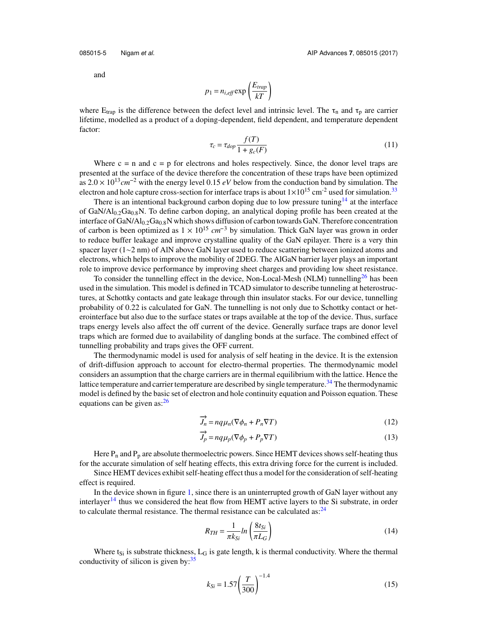and

$$
p_1 = n_{i, \text{eff}} \exp\left(\frac{E_{trap}}{kT}\right)
$$

where  $E_{trap}$  is the difference between the defect level and intrinsic level. The  $\tau_n$  and  $\tau_p$  are carrier lifetime, modelled as a product of a doping-dependent, field dependent, and temperature dependent factor:

$$
\tau_c = \tau_{dop} \frac{f(T)}{1 + g_c(F)}\tag{11}
$$

Where  $c = n$  and  $c = p$  for electrons and holes respectively. Since, the donor level traps are presented at the surface of the device therefore the concentration of these traps have been optimized Where  $c = n$  and  $c = p$  for electrons and holes respectively. Since, the donor level traps are presented at the surface of the device therefore the concentration of these traps have been optimized as  $2.0 \times 10^{13} cm^{-2}$  with electron and hole capture cross-section for interface traps is about  $1 \times 10^{15}$  cm<sup>-2</sup> used for simulation.<sup>33</sup>

There is an intentional background carbon doping due to low pressure tuning<sup>14</sup> at the interface of GaN/Al<sub>0.2</sub>Ga<sub>0.8</sub>N. To define carbon doping, an analytical doping profile has been created at the interface of GaN/Al $_{0.2}$ Ga $_{0.8}$ N which shows diffusion of carbon towards GaN. Therefore concentration of GaN/Al<sub>0.2</sub>Ga<sub>0.8</sub>N. To define carbon doping, an analytical doping profile has been created at the interface of GaN/Al<sub>0.2</sub>Ga<sub>0.8</sub>N which shows diffusion of carbon towards GaN. Therefore concentration of carbon is been to reduce buffer leakage and improve crystalline quality of the GaN epilayer. There is a very thin spacer layer (1∼2 nm) of AlN above GaN layer used to reduce scattering between ionized atoms and electrons, which helps to improve the mobility of 2DEG. The AlGaN barrier layer plays an important role to improve device performance by improving sheet charges and providing low sheet resistance.

To consider the tunnelling effect in the device, Non-Local-Mesh (NLM) tunnelling<sup>26</sup> has been used in the simulation. This model is defined in TCAD simulator to describe tunneling at heterostructures, at Schottky contacts and gate leakage through thin insulator stacks. For our device, tunnelling probability of 0.22 is calculated for GaN. The tunnelling is not only due to Schottky contact or heterointerface but also due to the surface states or traps available at the top of the device. Thus, surface traps energy levels also affect the off current of the device. Generally surface traps are donor level traps which are formed due to availability of dangling bonds at the surface. The combined effect of tunnelling probability and traps gives the OFF current.

The thermodynamic model is used for analysis of self heating in the device. It is the extension of drift-diffusion approach to account for electro-thermal properties. The thermodynamic model considers an assumption that the charge carriers are in thermal equilibrium with the lattice. Hence the lattice temperature and carrier temperature are described by single temperature.<sup>34</sup> The thermodynamic model is defined by the basic set of electron and hole continuity equation and Poisson equation. These equations can be given as: $^{26}$ 

$$
\overrightarrow{J}_n = nq\mu_n(\nabla\phi_n + P_n \nabla T) \tag{12}
$$

$$
\overrightarrow{J_p} = nq\mu_p(\nabla\phi_p + P_p \nabla T)
$$
\n(13)

Here  $P_n$  and  $P_p$  are absolute thermoelectric powers. Since HEMT devices shows self-heating thus for the accurate simulation of self heating effects, this extra driving force for the current is included.

Since HEMT devices exhibit self-heating effect thus a model for the consideration of self-heating effect is required.

In the device shown in figure 1, since there is an uninterrupted growth of GaN layer without any interlayer<sup>14</sup> thus we considered the heat flow from HEMT active layers to the Si substrate, in order to calculate thermal resistance. The thermal resistance can be calculated as: $^{24}$ 

$$
R_{TH} = \frac{1}{\pi k_{Si}} ln\left(\frac{8t_{Si}}{\pi L_G}\right)
$$
\n(14)

Where  $t_{Si}$  is substrate thickness,  $L_G$  is gate length, k is thermal conductivity. Where the thermal conductivity of silicon is given by: $35$ 

$$
k_{Si} = 1.57 \left(\frac{T}{300}\right)^{-1.4}
$$
 (15)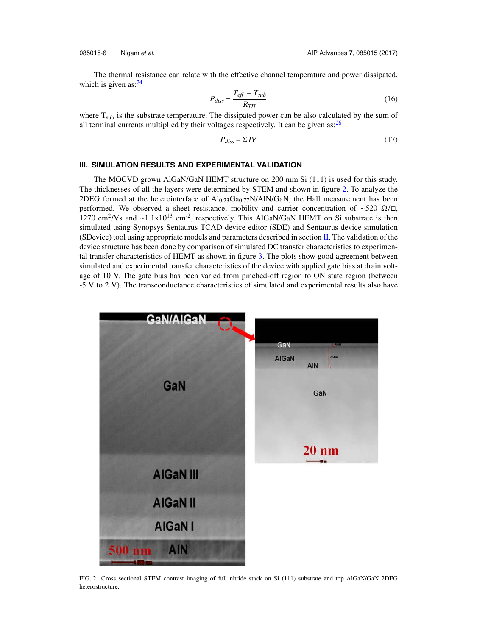The thermal resistance can relate with the effective channel temperature and power dissipated, which is given as: $24$ 

$$
P_{diss} = \frac{T_{\text{eff}} - T_{\text{sub}}}{R_{TH}}\tag{16}
$$

where  $T_{sub}$  is the substrate temperature. The dissipated power can be also calculated by the sum of all terminal currents multiplied by their voltages respectively. It can be given as:  $^{26}$ 

$$
P_{diss} = \Sigma \, IV \tag{17}
$$

### **III. SIMULATION RESULTS AND EXPERIMENTAL VALIDATION**

The MOCVD grown AlGaN/GaN HEMT structure on 200 mm Si (111) is used for this study. The thicknesses of all the layers were determined by STEM and shown in figure 2. To analyze the 2DEG formed at the heterointerface of  $Al_{0.23}Ga_{0.77}N/AIN/GaN$ , the Hall measurement has been performed. We observed a sheet resistance, mobility and carrier concentration of ~520  $\Omega/\square$ , 1270 cm<sup>2</sup>/Vs and ~1.1x10<sup>13</sup> cm<sup>-2</sup>, respectively. This AlGaN/GaN HEMT on Si substrate is then simulated using Synopsys Sentaurus TCAD device editor (SDE) and Sentaurus device simulation (SDevice) tool using appropriate models and parameters described in section II. The validation of the device structure has been done by comparison of simulated DC transfer characteristics to experimental transfer characteristics of HEMT as shown in figure 3. The plots show good agreement between simulated and experimental transfer characteristics of the device with applied gate bias at drain voltage of 10 V. The gate bias has been varied from pinched-off region to ON state region (between -5 V to 2 V). The transconductance characteristics of simulated and experimental results also have



FIG. 2. Cross sectional STEM contrast imaging of full nitride stack on Si (111) substrate and top AlGaN/GaN 2DEG heterostructure.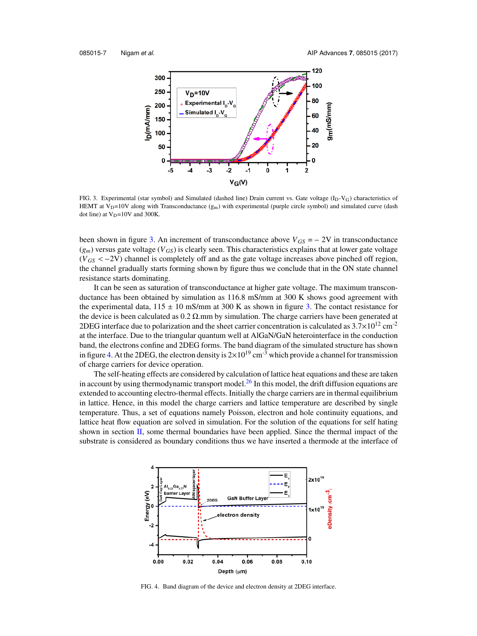

FIG. 3. Experimental (star symbol) and Simulated (dashed line) Drain current vs. Gate voltage  $(I_D-V_G)$  characteristics of HEMT at V<sub>D</sub>=10V along with Transconductance  $(g_m)$  with experimental (purple circle symbol) and simulated curve (dash dot line) at  $V_D$ =10V and 300K. HEMT at  $V_D=10V$  along with Transconductance ( $g_m$ ) with experimental (purple circle symbol) and simulated curve (dash dot line) at  $V_D=10V$  and 300K.<br>been shown in figure 3. An increment of transconductance above  $V_{GS} = -$ 

 $(g_m)$  versus gate voltage ( $V_{GS}$ ) is clearly seen. This characteristics explains that at lower gate voltage been shown in figure 3. An increment of transconductance above  $V_{GS} = -2V$  in transconductance  $(g_m)$  versus gate voltage  $(V_{GS})$  is clearly seen. This characteristics explains that at lower gate voltage  $(V_{GS} < -2V)$  channel the channel gradually starts forming shown by figure thus we conclude that in the ON state channel resistance starts dominating.

It can be seen as saturation of transconductance at higher gate voltage. The maximum transconductance has been obtained by simulation as 116.8 mS/mm at 300 K shows good agreement with the experimental data,  $115 \pm 10$  mS/mm at 300 K as shown in figure 3. The contact resistance for the device is been calculated as  $0.2 \Omega$ .mm by simulation. The charge carriers have been generated at 2DEG interface due to polarization and the sheet carrier concentration is calculated as  $3.7\times10^{12}$  cm<sup>-2</sup> at the interface. Due to the triangular quantum well at AlGaN/GaN heterointerface in the conduction band, the electrons confine and 2DEG forms. The band diagram of the simulated structure has shown in figure 4. At the 2DEG, the electron density is  $2\times10^{19}$  cm<sup>-3</sup> which provide a channel for transmission of charge carriers for device operation.

The self-heating effects are considered by calculation of lattice heat equations and these are taken in account by using thermodynamic transport model.<sup>26</sup> In this model, the drift diffusion equations are extended to accounting electro-thermal effects. Initially the charge carriers are in thermal equilibrium in lattice. Hence, in this model the charge carriers and lattice temperature are described by single temperature. Thus, a set of equations namely Poisson, electron and hole continuity equations, and lattice heat flow equation are solved in simulation. For the solution of the equations for self hating shown in section II, some thermal boundaries have been applied. Since the thermal impact of the substrate is considered as boundary conditions thus we have inserted a thermode at the interface of



FIG. 4. Band diagram of the device and electron density at 2DEG interface.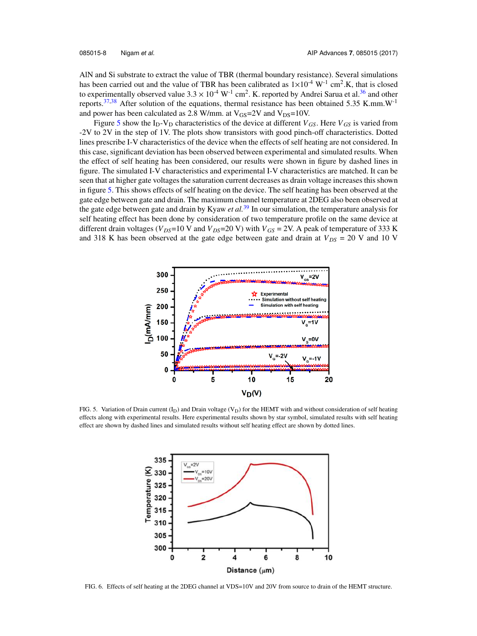AlN and Si substrate to extract the value of TBR (thermal boundary resistance). Several simulations has been carried out and the value of TBR has been calibrated as  $1 \times 10^{-4}$  W<sup>-1</sup> cm<sup>2</sup>.K, that is closed to experimentally observed value  $3.3 \times 10^{-4}$  W<sup>-1</sup> cm<sup>2</sup>. K. reported by Andrei Sarua et al.<sup>36</sup> and other reports.<sup>37,38</sup> After solution of the equations, thermal resistance has been obtained 5.35 K.mm.W<sup>-1</sup> and power has been calculated as 2.8 W/mm. at  $V_{GS}$ =2V and  $V_{DS}$ =10V.

Figure 5 show the  $I_D-V_D$  characteristics of the device at different  $V_{GS}$ . Here  $V_{GS}$  is varied from -2V to 2V in the step of 1V. The plots show transistors with good pinch-off characteristics. Dotted lines prescribe I-V characteristics of the device when the effects of self heating are not considered. In this case, significant deviation has been observed between experimental and simulated results. When the effect of self heating has been considered, our results were shown in figure by dashed lines in figure. The simulated I-V characteristics and experimental I-V characteristics are matched. It can be seen that at higher gate voltages the saturation current decreases as drain voltage increases this shown in figure 5. This shows effects of self heating on the device. The self heating has been observed at the gate edge between gate and drain. The maximum channel temperature at 2DEG also been observed at the gate edge between gate and drain by Kyaw *et al.*<sup>39</sup> In our simulation, the temperature analysis for self heating effect has been done by consideration of two temperature profile on the same device at different drain voltages ( $V_{DS}$ =10 V and  $V_{DS}$ =20 V) with  $V_{GS}$  = 2V. A peak of temperature of 333 K and 318 K has been observed at the gate edge between gate and drain at  $V_{DS} = 20$  V and 10 V



FIG. 5. Variation of Drain current (I<sub>D</sub>) and Drain voltage (V<sub>D</sub>) for the HEMT with and without consideration of self heating effects along with experimental results. Here experimental results shown by star symbol, simulated results with self heating effect are shown by dashed lines and simulated results without self heating effect are shown by dotted lines.



FIG. 6. Effects of self heating at the 2DEG channel at VDS=10V and 20V from source to drain of the HEMT structure.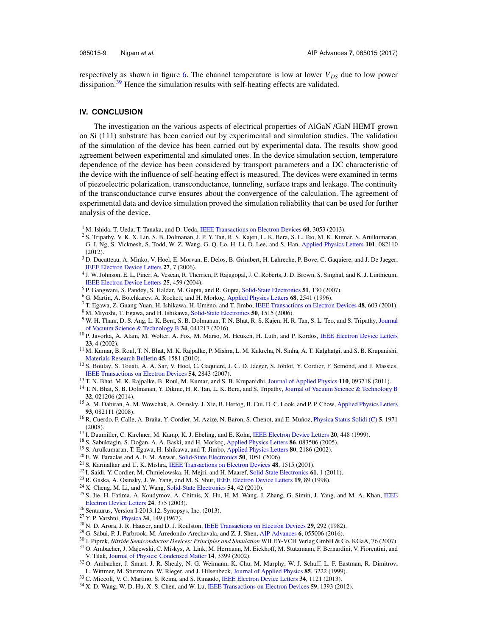respectively as shown in figure 6. The channel temperature is low at lower  $V_{DS}$  due to low power dissipation.<sup>39</sup> Hence the simulation results with self-heating effects are validated.

## **IV. CONCLUSION**

The investigation on the various aspects of electrical properties of AlGaN /GaN HEMT grown on Si (111) substrate has been carried out by experimental and simulation studies. The validation of the simulation of the device has been carried out by experimental data. The results show good agreement between experimental and simulated ones. In the device simulation section, temperature dependence of the device has been considered by transport parameters and a DC characteristic of the device with the influence of self-heating effect is measured. The devices were examined in terms of piezoelectric polarization, transconductance, tunneling, surface traps and leakage. The continuity of the transconductance curve ensures about the convergence of the calculation. The agreement of experimental data and device simulation proved the simulation reliability that can be used for further analysis of the device.

- <sup>1</sup> M. Ishida, T. Ueda, T. Tanaka, and D. Ueda, IEEE Transactions on Electron Devices **60**, 3053 (2013).
- <sup>2</sup> S. Tripathy, V. K. X. Lin, S. B. Dolmanan, J. P. Y. Tan, R. S. Kajen, L. K. Bera, S. L. Teo, M. K. Kumar, S. Arulkumaran, G. I. Ng, S. Vicknesh, S. Todd, W. Z. Wang, G. Q. Lo, H. Li, D. Lee, and S. Han, Applied Physics Letters **101**, 082110 (2012).
- <sup>3</sup> D. Ducatteau, A. Minko, V. Hoel, E. Morvan, E. Delos, B. Grimbert, H. Lahreche, P. Bove, C. Gaquiere, and J. De Jaeger, IEEE Electron Device Letters **27**, 7 (2006).
- 4 J. W. Johnson, E. L. Piner, A. Vescan, R. Therrien, P. Rajagopal, J. C. Roberts, J. D. Brown, S. Singhal, and K. J. Linthicum, IEEE Electron Device Letters **25**, 459 (2004).
- <sup>5</sup> P. Gangwani, S. Pandey, S. Haldar, M. Gupta, and R. Gupta, Solid-State Electronics **51**, 130 (2007).
- <sup>6</sup> G. Martin, A. Botchkarev, A. Rockett, and H. Morkoç, Applied Physics Letters 68, 2541 (1996).
- <sup>7</sup> T. Egawa, Z. Guang-Yuan, H. Ishikawa, H. Umeno, and T. Jimbo, IEEE Transactions on Electron Devices **48**, 603 (2001).
- <sup>8</sup> M. Miyoshi, T. Egawa, and H. Ishikawa, Solid-State Electronics **50**, 1515 (2006).
- <sup>9</sup> W. H. Tham, D. S. Ang, L. K. Bera, S. B. Dolmanan, T. N. Bhat, R. S. Kajen, H. R. Tan, S. L. Teo, and S. Tripathy, Journal of Vacuum Science & Technology B **34**, 041217 (2016).
- <sup>10</sup> P. Javorka, A. Alam, M. Wolter, A. Fox, M. Marso, M. Heuken, H. Luth, and P. Kordos, IEEE Electron Device Letters **23**, 4 (2002).
- <sup>11</sup> M. Kumar, B. Roul, T. N. Bhat, M. K. Rajpalke, P. Mishra, L. M. Kukreha, N. Sinha, A. T. Kalghatgi, and S. B. Krupanishi, Materials Research Bulletin **45**, 1581 (2010).
- <sup>12</sup> S. Boulay, S. Touati, A. A. Sar, V. Hoel, C. Gaquiere, J. C. D. Jaeger, S. Joblot, Y. Cordier, F. Semond, and J. Massies, IEEE Transactions on Electron Devices **54**, 2843 (2007).
- <sup>13</sup> T. N. Bhat, M. K. Rajpalke, B. Roul, M. Kumar, and S. B. Krupanidhi, Journal of Applied Physics **110**, 093718 (2011).
- <sup>14</sup> T. N. Bhat, S. B. Dolmanan, Y. Dikme, H. R. Tan, L. K. Bera, and S. Tripathy, Journal of Vacuum Science & Technology B **32**, 021206 (2014).
- <sup>15</sup> A. M. Dabiran, A. M. Wowchak, A. Osinsky, J. Xie, B. Hertog, B. Cui, D. C. Look, and P. P. Chow, Applied Physics Letters **93**, 082111 (2008).
- <sup>16</sup> R. Cuerdo, F. Calle, A. Braña, Y. Cordier, M. Azize, N. Baron, S. Chenot, and E. Muñoz, *Physica Status Solidi* (C) 5, 1971 (2008).
- <sup>17</sup> I. Daumiller, C. Kirchner, M. Kamp, K. J. Ebeling, and E. Kohn, IEEE Electron Device Letters **20**, 448 (1999).
- <sup>18</sup> S. Sabuktagin, S. Doğan, A. A. Baski, and H. Morkoç, Applied Physics Letters **86**, 083506 (2005).
- <sup>19</sup> S. Arulkumaran, T. Egawa, H. Ishikawa, and T. Jimbo, Applied Physics Letters **80**, 2186 (2002).
- <sup>20</sup> E. W. Faraclas and A. F. M. Anwar, Solid-State Electronics **50**, 1051 (2006).
- <sup>21</sup> S. Karmalkar and U. K. Mishra, IEEE Transactions on Electron Devices **48**, 1515 (2001).
- <sup>22</sup> I. Saidi, Y. Cordier, M. Chmielowska, H. Mejri, and H. Maaref, Solid-State Electronics **61**, 1 (2011).
- <sup>23</sup> R. Gaska, A. Osinsky, J. W. Yang, and M. S. Shur, IEEE Electron Device Letters **19**, 89 (1998).
- <sup>24</sup> X. Cheng, M. Li, and Y. Wang, Solid-State Electronics **54**, 42 (2010).
- <sup>25</sup> S. Jie, H. Fatima, A. Koudymov, A. Chitnis, X. Hu, H. M. Wang, J. Zhang, G. Simin, J. Yang, and M. A. Khan, IEEE Electron Device Letters **24**, 375 (2003).
- <sup>26</sup> Sentaurus, Version I-2013.12, Synopsys, Inc. (2013).
- <sup>27</sup> Y. P. Varshni, Physica **34**, 149 (1967).
- <sup>28</sup> N. D. Arora, J. R. Hauser, and D. J. Roulston, IEEE Transactions on Electron Devices **29**, 292 (1982).
- <sup>29</sup> G. Sabui, P. J. Parbrook, M. Arredondo-Arechavala, and Z. J. Shen, AIP Advances **6**, 055006 (2016).
- <sup>30</sup> J. Piprek, *Nitride Semiconductor Devices: Principles and Simulation* WILEY-VCH Verlag GmbH & Co. KGaA, 76 (2007). <sup>31</sup> O. Ambacher, J. Majewski, C. Miskys, A. Link, M. Hermann, M. Eickhoff, M. Stutzmann, F. Bernardini, V. Fiorentini, and V. Tilak, Journal of Physics: Condensed Matter **14**, 3399 (2002).
- <sup>32</sup> O. Ambacher, J. Smart, J. R. Shealy, N. G. Weimann, K. Chu, M. Murphy, W. J. Schaff, L. F. Eastman, R. Dimitrov, L. Wittmer, M. Stutzmann, W. Rieger, and J. Hilsenbeck, Journal of Applied Physics **85**, 3222 (1999).
- <sup>33</sup> C. Miccoli, V. C. Martino, S. Reina, and S. Rinaudo, IEEE Electron Device Letters **34**, 1121 (2013).
- <sup>34</sup> X. D. Wang, W. D. Hu, X. S. Chen, and W. Lu, IEEE Transactions on Electron Devices **59**, 1393 (2012).